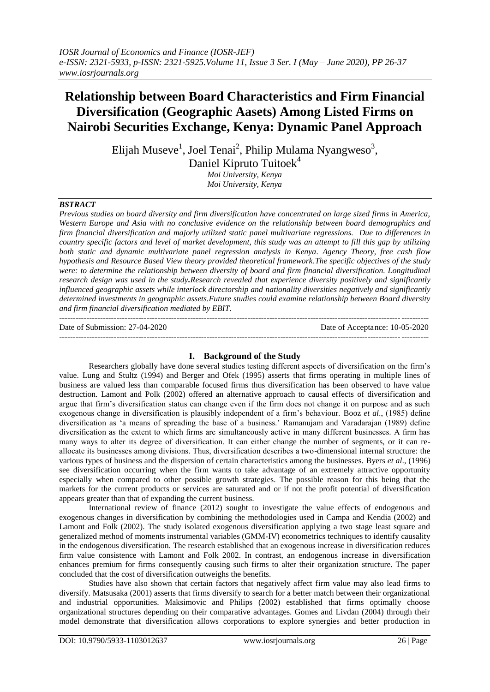# **Relationship between Board Characteristics and Firm Financial Diversification (Geographic Aasets) Among Listed Firms on Nairobi Securities Exchange, Kenya: Dynamic Panel Approach**

Elijah Museve $^1$ , Joel Tenai<sup>2</sup>, Philip Mulama Nyangweso $^3$ , Daniel Kipruto Tuitoek<sup>4</sup> *Moi University, Kenya*

*Moi University, Kenya*

# *BSTRACT*

*Previous studies on board diversity and firm diversification have concentrated on large sized firms in America, Western Europe and Asia with no conclusive evidence on the relationship between board demographics and firm financial diversification and majorly utilized static panel multivariate regressions. Due to differences in country specific factors and level of market development, this study was an attempt to fill this gap by utilizing both static and dynamic multivariate panel regression analysis in Kenya. Agency Theory, free cash flow hypothesis and Resource Based View theory provided theoretical framework.The specific objectives of the study*  were: to determine the relationship between diversity of board and firm financial diversification. Longitudinal *research design was used in the study.Research revealed that experience diversity positively and significantly influenced geographic assets while interlock directorship and nationality diversities negatively and significantly determined investments in geographic assets.Future studies could examine relationship between Board diversity and firm financial diversification mediated by EBIT.*  ---------------------------------------------------------------------------------------------------------------------------------------

Date of Submission: 27-04-2020 Date of Acceptance: 10-05-2020 ---------------------------------------------------------------------------------------------------------------------------------------

# **I. Background of the Study**

Researchers globally have done several studies testing different aspects of diversification on the firm"s value. Lung and Stultz (1994) and Berger and Ofek (1995) asserts that firms operating in multiple lines of business are valued less than comparable focused firms thus diversification has been observed to have value destruction. Lamont and Polk (2002) offered an alternative approach to causal effects of diversification and argue that firm"s diversification status can change even if the firm does not change it on purpose and as such exogenous change in diversification is plausibly independent of a firm"s behaviour. Booz *et al*., (1985) define diversification as "a means of spreading the base of a business." Ramanujam and Varadarajan (1989) define diversification as the extent to which firms are simultaneously active in many different businesses. A firm has many ways to alter its degree of diversification. It can either change the number of segments, or it can reallocate its businesses among divisions. Thus, diversification describes a two-dimensional internal structure: the various types of business and the dispersion of certain characteristics among the businesses. Byers *et al*., (1996) see diversification occurring when the firm wants to take advantage of an extremely attractive opportunity especially when compared to other possible growth strategies. The possible reason for this being that the markets for the current products or services are saturated and or if not the profit potential of diversification appears greater than that of expanding the current business.

International review of finance (2012) sought to investigate the value effects of endogenous and exogenous changes in diversification by combining the methodologies used in Campa and Kendia (2002) and Lamont and Folk (2002). The study isolated exogenous diversification applying a two stage least square and generalized method of moments instrumental variables (GMM-IV) econometrics techniques to identify causality in the endogenous diversification. The research established that an exogenous increase in diversification reduces firm value consistence with Lamont and Folk 2002. In contrast, an endogenous increase in diversification enhances premium for firms consequently causing such firms to alter their organization structure. The paper concluded that the cost of diversification outweighs the benefits.

Studies have also shown that certain factors that negatively affect firm value may also lead firms to diversify. Matsusaka (2001) asserts that firms diversify to search for a better match between their organizational and industrial opportunities. Maksimovic and Philips (2002) established that firms optimally choose organizational structures depending on their comparative advantages. Gomes and Livdan (2004) through their model demonstrate that diversification allows corporations to explore synergies and better production in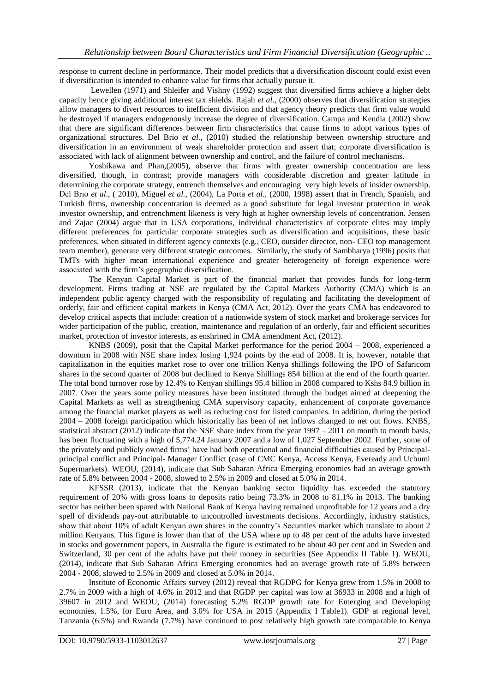response to current decline in performance. Their model predicts that a diversification discount could exist even if diversification is intended to enhance value for firms that actually pursue it.

Lewellen (1971) and Shleifer and Vishny (1992) suggest that diversified firms achieve a higher debt capacity hence giving additional interest tax shields. Rajah *et al.,* (2000) observes that diversification strategies allow managers to divert resources to inefficient division and that agency theory predicts that firm value would be destroyed if managers endogenously increase the degree of diversification. Campa and Kendia (2002) show that there are significant differences between firm characteristics that cause firms to adopt various types of organizational structures. Del Brio *et al.,* (2010) studied the relationship between ownership structure and diversification in an environment of weak shareholder protection and assert that; corporate diversification is associated with lack of alignment between ownership and control, and the failure of control mechanisms.

Yoshikawa and Phan,(2005), observe that firms with greater ownership concentration are less diversified, though, in contrast; provide managers with considerable discretion and greater latitude in determining the corporate strategy, entrench themselves and encouraging very high levels of insider ownership. Del Brıo *et al*., ( 2010), Miguel *et al.,* (2004), La Porta *et al*., (2000, 1998) assert that in French, Spanish, and Turkish firms, ownership concentration is deemed as a good substitute for legal investor protection in weak investor ownership, and entrenchment likeness is very high at higher ownership levels of concentration. Jensen and Zajac (2004) argue that in USA corporations, individual characteristics of corporate elites may imply different preferences for particular corporate strategies such as diversification and acquisitions, these basic preferences, when situated in different agency contexts (e.g., CEO, outsider director, non- CEO top management team member), generate very different strategic outcomes. Similarly, the study of Sambharya (1996) posits that TMTs with higher mean international experience and greater heterogeneity of foreign experience were associated with the firm"s geographic diversification.

The Kenyan Capital Market is part of the financial market that provides funds for long-term development. Firms trading at NSE are regulated by the Capital Markets Authority (CMA) which is an independent public agency charged with the responsibility of regulating and facilitating the development of orderly, fair and efficient capital markets in Kenya (CMA Act, 2012). Over the years CMA has endeavored to develop critical aspects that include: creation of a nationwide system of stock market and brokerage services for wider participation of the public, creation, maintenance and regulation of an orderly, fair and efficient securities market, protection of investor interests, as enshrined in CMA amendment Act, (2012).

KNBS (2009), posit that the Capital Market performance for the period 2004 – 2008, experienced a downturn in 2008 with NSE share index losing 1,924 points by the end of 2008. It is, however, notable that capitalization in the equities market rose to over one trillion Kenya shillings following the IPO of Safaricom shares in the second quarter of 2008 but declined to Kenya Shillings 854 billion at the end of the fourth quarter. The total bond turnover rose by 12.4% to Kenyan shillings 95.4 billion in 2008 compared to Kshs 84.9 billion in 2007. Over the years some policy measures have been instituted through the budget aimed at deepening the Capital Markets as well as strengthening CMA supervisory capacity, enhancement of corporate governance among the financial market players as well as reducing cost for listed companies. In addition, during the period 2004 – 2008 foreign participation which historically has been of net inflows changed to net out flows. KNBS, statistical abstract (2012) indicate that the NSE share index from the year 1997 – 2011 on month to month basis, has been fluctuating with a high of 5,774.24 January 2007 and a low of 1,027 September 2002. Further, some of the privately and publicly owned firms" have had both operational and financial difficulties caused by Principalprincipal conflict and Principal- Manager Conflict (case of CMC Kenya, Access Kenya, Eveready and Uchumi Supermarkets). WEOU, (2014), indicate that Sub Saharan Africa Emerging economies had an average growth rate of 5.8% between 2004 - 2008, slowed to 2.5% in 2009 and closed at 5.0% in 2014.

KFSSR (2013), indicate that the Kenyan banking sector liquidity has exceeded the statutory requirement of 20% with gross loans to deposits ratio being 73.3% in 2008 to 81.1% in 2013. The banking sector has neither been spared with National Bank of Kenya having remained unprofitable for 12 years and a dry spell of dividends pay-out attributable to uncontrolled investments decisions. Accordingly, industry statistics, show that about 10% of adult Kenyan own shares in the country"s Securities market which translate to about 2 million Kenyans. This figure is lower than that of the USA where up to 48 per cent of the adults have invested in stocks and government papers, in Australia the figure is estimated to be about 40 per cent and in Sweden and Switzerland, 30 per cent of the adults have put their money in securities (See Appendix II Table 1). WEOU, (2014), indicate that Sub Saharan Africa Emerging economies had an average growth rate of 5.8% between 2004 - 2008, slowed to 2.5% in 2009 and closed at 5.0% in 2014.

Institute of Economic Affairs survey (2012) reveal that RGDPG for Kenya grew from 1.5% in 2008 to 2.7% in 2009 with a high of 4.6% in 2012 and that RGDP per capital was low at 36933 in 2008 and a high of 39607 in 2012 and WEOU, (2014) forecasting 5.2% RGDP growth rate for Emerging and Developing economies, 1.5%, for Euro Area, and 3.0% for USA in 2015 (Appendix I Table1). GDP at regional level, Tanzania (6.5%) and Rwanda (7.7%) have continued to post relatively high growth rate comparable to Kenya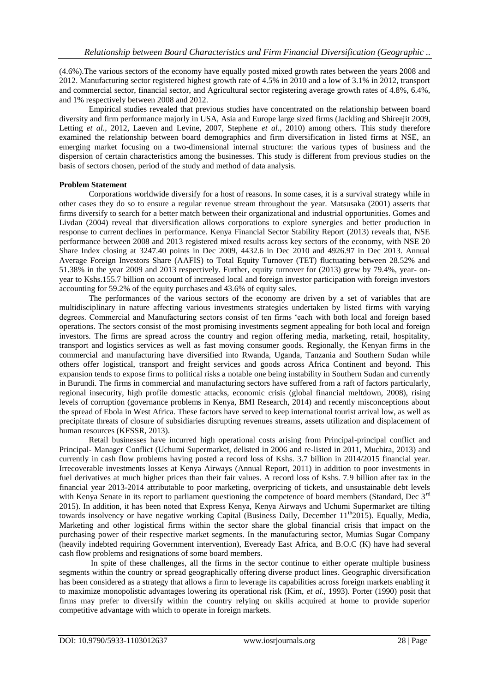(4.6%).The various sectors of the economy have equally posted mixed growth rates between the years 2008 and 2012. Manufacturing sector registered highest growth rate of 4.5% in 2010 and a low of 3.1% in 2012, transport and commercial sector, financial sector, and Agricultural sector registering average growth rates of 4.8%, 6.4%, and 1% respectively between 2008 and 2012.

Empirical studies revealed that previous studies have concentrated on the relationship between board diversity and firm performance majorly in USA, Asia and Europe large sized firms (Jackling and Shireejit 2009, Letting *et al.,* 2012, Laeven and Levine, 2007, Stephene *et al.,* 2010) among others. This study therefore examined the relationship between board demographics and firm diversification in listed firms at NSE, an emerging market focusing on a two-dimensional internal structure: the various types of business and the dispersion of certain characteristics among the businesses. This study is different from previous studies on the basis of sectors chosen, period of the study and method of data analysis.

## **Problem Statement**

Corporations worldwide diversify for a host of reasons. In some cases, it is a survival strategy while in other cases they do so to ensure a regular revenue stream throughout the year. Matsusaka (2001) asserts that firms diversify to search for a better match between their organizational and industrial opportunities. Gomes and Livdan (2004) reveal that diversification allows corporations to explore synergies and better production in response to current declines in performance. Kenya Financial Sector Stability Report (2013) reveals that, NSE performance between 2008 and 2013 registered mixed results across key sectors of the economy, with NSE 20 Share Index closing at 3247.40 points in Dec 2009, 4432.6 in Dec 2010 and 4926.97 in Dec 2013. Annual Average Foreign Investors Share (AAFIS) to Total Equity Turnover (TET) fluctuating between 28.52% and 51.38% in the year 2009 and 2013 respectively. Further, equity turnover for (2013) grew by 79.4%, year- onyear to Kshs.155.7 billion on account of increased local and foreign investor participation with foreign investors accounting for 59.2% of the equity purchases and 43.6% of equity sales.

The performances of the various sectors of the economy are driven by a set of variables that are multidisciplinary in nature affecting various investments strategies undertaken by listed firms with varying degrees. Commercial and Manufacturing sectors consist of ten firms "each with both local and foreign based operations. The sectors consist of the most promising investments segment appealing for both local and foreign investors. The firms are spread across the country and region offering media, marketing, retail, hospitality, transport and logistics services as well as fast moving consumer goods. Regionally, the Kenyan firms in the commercial and manufacturing have diversified into Rwanda, Uganda, Tanzania and Southern Sudan while others offer logistical, transport and freight services and goods across Africa Continent and beyond. This expansion tends to expose firms to political risks a notable one being instability in Southern Sudan and currently in Burundi. The firms in commercial and manufacturing sectors have suffered from a raft of factors particularly, regional insecurity, high profile domestic attacks, economic crisis (global financial meltdown, 2008), rising levels of corruption (governance problems in Kenya, BMI Research, 2014) and recently misconceptions about the spread of Ebola in West Africa. These factors have served to keep international tourist arrival low, as well as precipitate threats of closure of subsidiaries disrupting revenues streams, assets utilization and displacement of human resources (KFSSR, 2013).

Retail businesses have incurred high operational costs arising from Principal-principal conflict and Principal- Manager Conflict (Uchumi Supermarket, delisted in 2006 and re-listed in 2011, Muchira, 2013) and currently in cash flow problems having posted a record loss of Kshs. 3.7 billion in 2014/2015 financial year. Irrecoverable investments losses at Kenya Airways (Annual Report, 2011) in addition to poor investments in fuel derivatives at much higher prices than their fair values. A record loss of Kshs. 7.9 billion after tax in the financial year 2013-2014 attributable to poor marketing, overpricing of tickets, and unsustainable debt levels with Kenya Senate in its report to parliament questioning the competence of board members (Standard, Dec 3<sup>rd</sup> 2015). In addition, it has been noted that Express Kenya, Kenya Airways and Uchumi Supermarket are tilting towards insolvency or have negative working Capital (Business Daily, December  $11<sup>th</sup>2015$ ). Equally, Media, Marketing and other logistical firms within the sector share the global financial crisis that impact on the purchasing power of their respective market segments. In the manufacturing sector, Mumias Sugar Company (heavily indebted requiring Government intervention), Eveready East Africa, and B.O.C (K) have had several cash flow problems and resignations of some board members.

In spite of these challenges, all the firms in the sector continue to either operate multiple business segments within the country or spread geographically offering diverse product lines. Geographic diversification has been considered as a strategy that allows a firm to leverage its capabilities across foreign markets enabling it to maximize monopolistic advantages lowering its operational risk (Kim, *et al.,* 1993). Porter (1990) posit that firms may prefer to diversify within the country relying on skills acquired at home to provide superior competitive advantage with which to operate in foreign markets.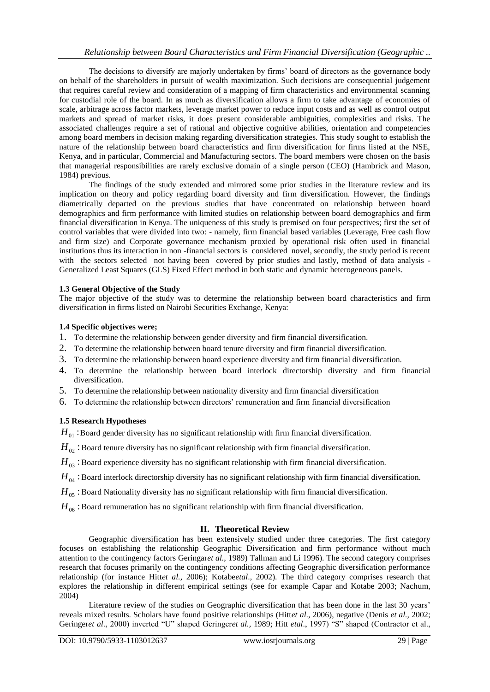The decisions to diversify are majorly undertaken by firms" board of directors as the governance body on behalf of the shareholders in pursuit of wealth maximization. Such decisions are consequential judgement that requires careful review and consideration of a mapping of firm characteristics and environmental scanning for custodial role of the board. In as much as diversification allows a firm to take advantage of economies of scale, arbitrage across factor markets, leverage market power to reduce input costs and as well as control output markets and spread of market risks, it does present considerable ambiguities, complexities and risks. The associated challenges require a set of rational and objective cognitive abilities, orientation and competencies among board members in decision making regarding diversification strategies. This study sought to establish the nature of the relationship between board characteristics and firm diversification for firms listed at the NSE, Kenya, and in particular, Commercial and Manufacturing sectors. The board members were chosen on the basis that managerial responsibilities are rarely exclusive domain of a single person (CEO) (Hambrick and Mason, 1984) previous.

The findings of the study extended and mirrored some prior studies in the literature review and its implication on theory and policy regarding board diversity and firm diversification. However, the findings diametrically departed on the previous studies that have concentrated on relationship between board demographics and firm performance with limited studies on relationship between board demographics and firm financial diversification in Kenya. The uniqueness of this study is premised on four perspectives; first the set of control variables that were divided into two: - namely, firm financial based variables (Leverage, Free cash flow and firm size) and Corporate governance mechanism proxied by operational risk often used in financial institutions thus its interaction in non -financial sectors is considered novel, secondly, the study period is recent with the sectors selected not having been covered by prior studies and lastly, method of data analysis -Generalized Least Squares (GLS) Fixed Effect method in both static and dynamic heterogeneous panels.

## **1.3 General Objective of the Study**

The major objective of the study was to determine the relationship between board characteristics and firm diversification in firms listed on Nairobi Securities Exchange, Kenya:

#### **1.4 Specific objectives were;**

- 1. To determine the relationship between gender diversity and firm financial diversification.
- 2. To determine the relationship between board tenure diversity and firm financial diversification.
- 3. To determine the relationship between board experience diversity and firm financial diversification.
- 4. To determine the relationship between board interlock directorship diversity and firm financial diversification.
- 5. To determine the relationship between nationality diversity and firm financial diversification
- 6. To determine the relationship between directors" remuneration and firm financial diversification

## **1.5 Research Hypotheses**

 $H_{01}$  :Board gender diversity has no significant relationship with firm financial diversification.

 $H_{02}$  : Board tenure diversity has no significant relationship with firm financial diversification.

- $H_{03}$  : Board experience diversity has no significant relationship with firm financial diversification.
- $H_{04}$  : Board interlock directorship diversity has no significant relationship with firm financial diversification.
- $H_{05}$ : Board Nationality diversity has no significant relationship with firm financial diversification.
- $H_{06}$ : Board remuneration has no significant relationship with firm financial diversification.

## **II. Theoretical Review**

Geographic diversification has been extensively studied under three categories. The first category focuses on establishing the relationship Geographic Diversification and firm performance without much attention to the contingency factors Geringar*et al.,* 1989) Tallman and Li 1996). The second category comprises research that focuses primarily on the contingency conditions affecting Geographic diversification performance relationship (for instance Hitt*et al.*, 2006); Kotabe*etal*., 2002). The third category comprises research that explores the relationship in different empirical settings (see for example Capar and Kotabe 2003; Nachum, 2004)

Literature review of the studies on Geographic diversification that has been done in the last 30 years' reveals mixed results. Scholars have found positive relationships (Hitt*et al*., 2006), negative (Denis *et al.,* 2002; Geringer*et al*., 2000) inverted "U" shaped Geringer*et al.,* 1989; Hitt *etal*., 1997) "S" shaped (Contractor et al.,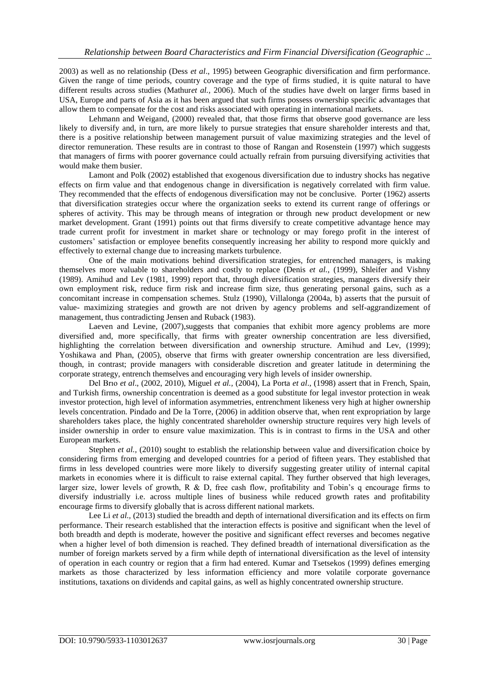2003) as well as no relationship (Dess *et al*., 1995) between Geographic diversification and firm performance. Given the range of time periods, country coverage and the type of firms studied, it is quite natural to have different results across studies (Mathur*et al.,* 2006). Much of the studies have dwelt on larger firms based in USA, Europe and parts of Asia as it has been argued that such firms possess ownership specific advantages that allow them to compensate for the cost and risks associated with operating in international markets.

Lehmann and Weigand, (2000) revealed that, that those firms that observe good governance are less likely to diversify and, in turn, are more likely to pursue strategies that ensure shareholder interests and that, there is a positive relationship between management pursuit of value maximizing strategies and the level of director remuneration. These results are in contrast to those of Rangan and Rosenstein (1997) which suggests that managers of firms with poorer governance could actually refrain from pursuing diversifying activities that would make them busier.

Lamont and Polk (2002) established that exogenous diversification due to industry shocks has negative effects on firm value and that endogenous change in diversification is negatively correlated with firm value. They recommended that the effects of endogenous diversification may not be conclusive. Porter (1962) asserts that diversification strategies occur where the organization seeks to extend its current range of offerings or spheres of activity. This may be through means of integration or through new product development or new market development. Grant (1991) points out that firms diversify to create competitive advantage hence may trade current profit for investment in market share or technology or may forego profit in the interest of customers" satisfaction or employee benefits consequently increasing her ability to respond more quickly and effectively to external change due to increasing markets turbulence.

One of the main motivations behind diversification strategies, for entrenched managers, is making themselves more valuable to shareholders and costly to replace (Denis *et al.*, (1999), Shleifer and Vishny (1989). Amihud and Lev (1981, 1999) report that, through diversification strategies, managers diversify their own employment risk, reduce firm risk and increase firm size, thus generating personal gains, such as a concomitant increase in compensation schemes. Stulz (1990), Villalonga (2004a, b) asserts that the pursuit of value- maximizing strategies and growth are not driven by agency problems and self-aggrandizement of management, thus contradicting Jensen and Ruback (1983).

Laeven and Levine, (2007),suggests that companies that exhibit more agency problems are more diversified and, more specifically, that firms with greater ownership concentration are less diversified, highlighting the correlation between diversification and ownership structure. Amihud and Lev, (1999); Yoshikawa and Phan, (2005), observe that firms with greater ownership concentration are less diversified, though, in contrast; provide managers with considerable discretion and greater latitude in determining the corporate strategy, entrench themselves and encouraging very high levels of insider ownership.

Del Brıo *et al*., (2002, 2010), Miguel *et al.,* (2004), La Porta *et al*., (1998) assert that in French, Spain, and Turkish firms, ownership concentration is deemed as a good substitute for legal investor protection in weak investor protection, high level of information asymmetries, entrenchment likeness very high at higher ownership levels concentration. Pindado and De la Torre, (2006) in addition observe that, when rent expropriation by large shareholders takes place, the highly concentrated shareholder ownership structure requires very high levels of insider ownership in order to ensure value maximization. This is in contrast to firms in the USA and other European markets.

Stephen *et al.*, (2010) sought to establish the relationship between value and diversification choice by considering firms from emerging and developed countries for a period of fifteen years. They established that firms in less developed countries were more likely to diversify suggesting greater utility of internal capital markets in economies where it is difficult to raise external capital. They further observed that high leverages, larger size, lower levels of growth, R  $\&$  D, free cash flow, profitability and Tobin's q encourage firms to diversify industrially i.e. across multiple lines of business while reduced growth rates and profitability encourage firms to diversify globally that is across different national markets.

Lee Li *et al.*, (2013) studied the breadth and depth of international diversification and its effects on firm performance. Their research established that the interaction effects is positive and significant when the level of both breadth and depth is moderate, however the positive and significant effect reverses and becomes negative when a higher level of both dimension is reached. They defined breadth of international diversification as the number of foreign markets served by a firm while depth of international diversification as the level of intensity of operation in each country or region that a firm had entered. Kumar and Tsetsekos (1999) defines emerging markets as those characterized by less information efficiency and more volatile corporate governance institutions, taxations on dividends and capital gains, as well as highly concentrated ownership structure.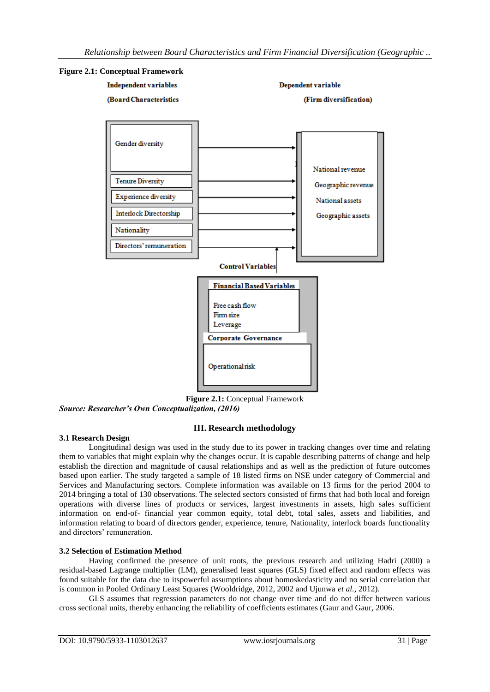

**Figure 2.1:** Conceptual Framework *Source: Researcher's Own Conceptualization, (2016)* 

# **III. Research methodology**

## **3.1 Research Design**

Longitudinal design was used in the study due to its power in tracking changes over time and relating them to variables that might explain why the changes occur. It is capable describing patterns of change and help establish the direction and magnitude of causal relationships and as well as the prediction of future outcomes based upon earlier. The study targeted a sample of 18 listed firms on NSE under category of Commercial and Services and Manufacturing sectors. Complete information was available on 13 firms for the period 2004 to 2014 bringing a total of 130 observations. The selected sectors consisted of firms that had both local and foreign operations with diverse lines of products or services, largest investments in assets, high sales sufficient information on end-of- financial year common equity, total debt, total sales, assets and liabilities, and information relating to board of directors gender, experience, tenure, Nationality, interlock boards functionality and directors' remuneration.

## **3.2 Selection of Estimation Method**

Having confirmed the presence of unit roots, the previous research and utilizing Hadri (2000) a residual-based Lagrange multiplier (LM), generalised least squares (GLS) fixed effect and random effects was found suitable for the data due to itspowerful assumptions about homoskedasticity and no serial correlation that is common in Pooled Ordinary Least Squares (Wooldridge, 2012, 2002 and Ujunwa *et al.,* 2012).

GLS assumes that regression parameters do not change over time and do not differ between various cross sectional units, thereby enhancing the reliability of coefficients estimates (Gaur and Gaur, 2006.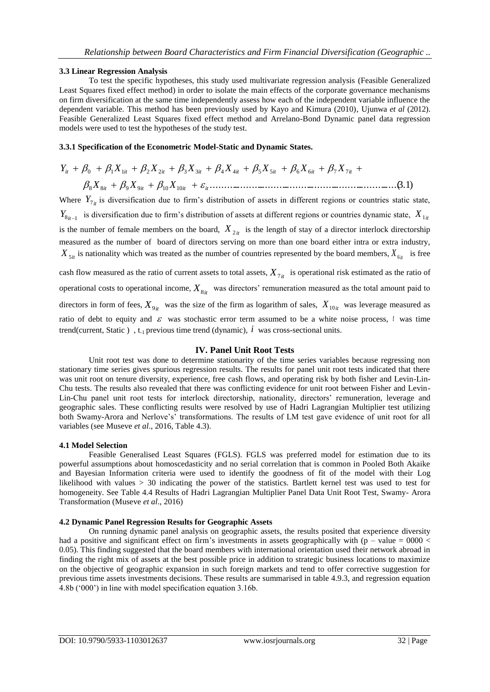#### **3.3 Linear Regression Analysis**

To test the specific hypotheses, this study used multivariate regression analysis (Feasible Generalized Least Squares fixed effect method) in order to isolate the main effects of the corporate governance mechanisms on firm diversification at the same time independently assess how each of the independent variable influence the dependent variable. This method has been previously used by Kayo and Kimura (2010), Ujunwa *et al* (2012). Feasible Generalized Least Squares fixed effect method and Arrelano-Bond Dynamic panel data regression models were used to test the hypotheses of the study test.

#### **3.3.1 Specification of the Econometric Model-Static and Dynamic States.**

...........................................................................(3.1) 8 8 9 9 10 10 0 1 1 2 2 3 3 4 4 5 5 6 6 7 7 *it it it it it it it it it it it it X X X Y X X X X X X X* 

Where  $Y_{7it}$  is diversification due to firm's distribution of assets in different regions or countries static state,  $Y_{8it-1}$  is diversification due to firm's distribution of assets at different regions or countries dynamic state,  $X_{1it}$ is the number of female members on the board,  $X_{2it}$  is the length of stay of a director interlock directorship measured as the number of board of directors serving on more than one board either intra or extra industry,  $X_{5it}$  is nationality which was treated as the number of countries represented by the board members,  $X_{6it}$  is free

cash flow measured as the ratio of current assets to total assets,  $X_{7i}$  is operational risk estimated as the ratio of operational costs to operational income,  $X_{8it}$  was directors' remuneration measured as the total amount paid to directors in form of fees,  $X_{9it}$  was the size of the firm as logarithm of sales,  $X_{10it}$  was leverage measured as ratio of debt to equity and  $\varepsilon$  was stochastic error term assumed to be a white noise process, t was time trend(current, Static),  $t_1$  previous time trend (dynamic),  $\hat{i}$  was cross-sectional units.

#### **IV. Panel Unit Root Tests**

Unit root test was done to determine stationarity of the time series variables because regressing non stationary time series gives spurious regression results. The results for panel unit root tests indicated that there was unit root on tenure diversity, experience, free cash flows, and operating risk by both fisher and Levin-Lin-Chu tests. The results also revealed that there was conflicting evidence for unit root between Fisher and Levin-Lin-Chu panel unit root tests for interlock directorship, nationality, directors" remuneration, leverage and geographic sales. These conflicting results were resolved by use of Hadri Lagrangian Multiplier test utilizing both Swamy-Arora and Nerlove"s" transformations. The results of LM test gave evidence of unit root for all variables (see Museve *et al*., 2016, Table 4.3).

#### **4.1 Model Selection**

Feasible Generalised Least Squares (FGLS). FGLS was preferred model for estimation due to its powerful assumptions about homoscedasticity and no serial correlation that is common in Pooled Both Akaike and Bayesian Information criteria were used to identify the goodness of fit of the model with their Log likelihood with values > 30 indicating the power of the statistics. Bartlett kernel test was used to test for homogeneity. See Table 4.4 Results of Hadri Lagrangian Multiplier Panel Data Unit Root Test, Swamy- Arora Transformation (Museve *et al*., 2016)

## **4.2 Dynamic Panel Regression Results for Geographic Assets**

On running dynamic panel analysis on geographic assets, the results posited that experience diversity had a positive and significant effect on firm's investments in assets geographically with (p – value =  $0000 <$ 0.05). This finding suggested that the board members with international orientation used their network abroad in finding the right mix of assets at the best possible price in addition to strategic business locations to maximize on the objective of geographic expansion in such foreign markets and tend to offer corrective suggestion for previous time assets investments decisions. These results are summarised in table 4.9.3, and regression equation 4.8b ("000") in line with model specification equation 3.16b.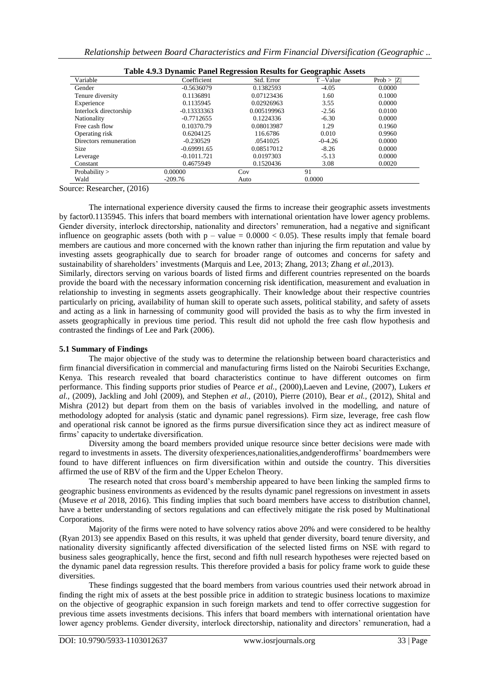| Table 4.9.3 Dynamic Panel Regression Results for Geographic Assets |               |             |           |           |  |  |  |
|--------------------------------------------------------------------|---------------|-------------|-----------|-----------|--|--|--|
| Variable                                                           | Coefficient   | Std. Error  | T-Value   | Prob >  Z |  |  |  |
| Gender                                                             | $-0.5636079$  | 0.1382593   | $-4.05$   | 0.0000    |  |  |  |
| Tenure diversity                                                   | 0.1136891     | 0.07123436  | 1.60      | 0.1000    |  |  |  |
| Experience                                                         | 0.1135945     | 0.02926963  | 3.55      | 0.0000    |  |  |  |
| Interlock directorship                                             | $-0.13333363$ | 0.005199963 | $-2.56$   | 0.0100    |  |  |  |
| Nationality                                                        | $-0.7712655$  | 0.1224336   | $-6.30$   | 0.0000    |  |  |  |
| Free cash flow                                                     | 0.10370.79    | 0.08013987  | 1.29      | 0.1960    |  |  |  |
| Operating risk                                                     | 0.6204125     | 116.6786    | 0.010     | 0.9960    |  |  |  |
| Directors remuneration                                             | $-0.230529$   | .0541025    | $-0-4.26$ | 0.0000    |  |  |  |
| <b>Size</b>                                                        | $-0.69991.65$ | 0.08517012  | $-8.26$   | 0.0000    |  |  |  |
| Leverage                                                           | $-0.1011.721$ | 0.0197303   | $-5.13$   | 0.0000    |  |  |  |
| Constant                                                           | 0.4675949     | 0.1520436   | 3.08      | 0.0020    |  |  |  |
| Probability $>$                                                    | 0.00000       | Cov         | 91        |           |  |  |  |
| Wald                                                               | $-209.76$     | Auto        | 0.0000    |           |  |  |  |

Source: Researcher, (2016)

The international experience diversity caused the firms to increase their geographic assets investments by factor0.1135945. This infers that board members with international orientation have lower agency problems. Gender diversity, interlock directorship, nationality and directors" remuneration, had a negative and significant influence on geographic assets (both with  $p - value = 0.0000 < 0.05$ ). These results imply that female board members are cautious and more concerned with the known rather than injuring the firm reputation and value by investing assets geographically due to search for broader range of outcomes and concerns for safety and sustainability of shareholders" investments (Marquis and Lee, 2013; Zhang, 2013; Zhang *et al.,*2013).

Similarly, directors serving on various boards of listed firms and different countries represented on the boards provide the board with the necessary information concerning risk identification, measurement and evaluation in relationship to investing in segments assets geographically. Their knowledge about their respective countries particularly on pricing, availability of human skill to operate such assets, political stability, and safety of assets and acting as a link in harnessing of community good will provided the basis as to why the firm invested in assets geographically in previous time period. This result did not uphold the free cash flow hypothesis and contrasted the findings of Lee and Park (2006).

#### **5.1 Summary of Findings**

The major objective of the study was to determine the relationship between board characteristics and firm financial diversification in commercial and manufacturing firms listed on the Nairobi Securities Exchange, Kenya. This research revealed that board characteristics continue to have different outcomes on firm performance. This finding supports prior studies of Pearce *et al.,* (2000),Laeven and Levine, (2007), Lukers *et al.,* (2009), Jackling and Johl (2009), and Stephen *et al.,* (2010), Pierre (2010), Bear *et al.,* (2012), Shital and Mishra (2012) but depart from them on the basis of variables involved in the modelling, and nature of methodology adopted for analysis (static and dynamic panel regressions). Firm size, leverage, free cash flow and operational risk cannot be ignored as the firms pursue diversification since they act as indirect measure of firms" capacity to undertake diversification.

Diversity among the board members provided unique resource since better decisions were made with regard to investments in assets. The diversity ofexperiences,nationalities,andgenderoffirms" boardmembers were found to have different influences on firm diversification within and outside the country. This diversities affirmed the use of RBV of the firm and the Upper Echelon Theory.

The research noted that cross board"s membership appeared to have been linking the sampled firms to geographic business environments as evidenced by the results dynamic panel regressions on investment in assets (Museve *et al* 2018, 2016). This finding implies that such board members have access to distribution channel, have a better understanding of sectors regulations and can effectively mitigate the risk posed by Multinational Corporations.

Majority of the firms were noted to have solvency ratios above 20% and were considered to be healthy (Ryan 2013) see appendix Based on this results, it was upheld that gender diversity, board tenure diversity, and nationality diversity significantly affected diversification of the selected listed firms on NSE with regard to business sales geographically, hence the first, second and fifth null research hypotheses were rejected based on the dynamic panel data regression results. This therefore provided a basis for policy frame work to guide these diversities.

These findings suggested that the board members from various countries used their network abroad in finding the right mix of assets at the best possible price in addition to strategic business locations to maximize on the objective of geographic expansion in such foreign markets and tend to offer corrective suggestion for previous time assets investments decisions. This infers that board members with international orientation have lower agency problems. Gender diversity, interlock directorship, nationality and directors' remuneration, had a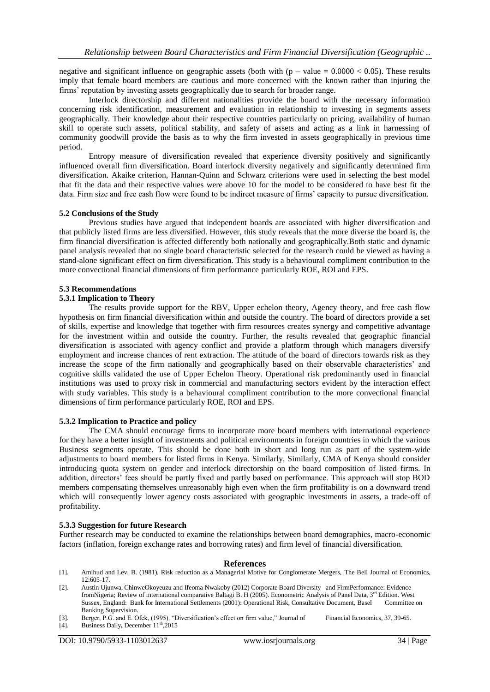negative and significant influence on geographic assets (both with  $(p - value = 0.0000 < 0.05)$ ). These results imply that female board members are cautious and more concerned with the known rather than injuring the firms" reputation by investing assets geographically due to search for broader range.

Interlock directorship and different nationalities provide the board with the necessary information concerning risk identification, measurement and evaluation in relationship to investing in segments assets geographically. Their knowledge about their respective countries particularly on pricing, availability of human skill to operate such assets, political stability, and safety of assets and acting as a link in harnessing of community goodwill provide the basis as to why the firm invested in assets geographically in previous time period.

Entropy measure of diversification revealed that experience diversity positively and significantly influenced overall firm diversification. Board interlock diversity negatively and significantly determined firm diversification. Akaike criterion, Hannan-Quinn and Schwarz criterions were used in selecting the best model that fit the data and their respective values were above 10 for the model to be considered to have best fit the data. Firm size and free cash flow were found to be indirect measure of firms" capacity to pursue diversification.

#### **5.2 Conclusions of the Study**

Previous studies have argued that independent boards are associated with higher diversification and that publicly listed firms are less diversified. However, this study reveals that the more diverse the board is, the firm financial diversification is affected differently both nationally and geographically.Both static and dynamic panel analysis revealed that no single board characteristic selected for the research could be viewed as having a stand-alone significant effect on firm diversification. This study is a behavioural compliment contribution to the more convectional financial dimensions of firm performance particularly ROE, ROI and EPS.

#### **5.3 Recommendations**

#### **5.3.1 Implication to Theory**

The results provide support for the RBV, Upper echelon theory, Agency theory, and free cash flow hypothesis on firm financial diversification within and outside the country. The board of directors provide a set of skills, expertise and knowledge that together with firm resources creates synergy and competitive advantage for the investment within and outside the country. Further, the results revealed that geographic financial diversification is associated with agency conflict and provide a platform through which managers diversify employment and increase chances of rent extraction. The attitude of the board of directors towards risk as they increase the scope of the firm nationally and geographically based on their observable characteristics" and cognitive skills validated the use of Upper Echelon Theory. Operational risk predominantly used in financial institutions was used to proxy risk in commercial and manufacturing sectors evident by the interaction effect with study variables. This study is a behavioural compliment contribution to the more convectional financial dimensions of firm performance particularly ROE, ROI and EPS.

#### **5.3.2 Implication to Practice and policy**

The CMA should encourage firms to incorporate more board members with international experience for they have a better insight of investments and political environments in foreign countries in which the various Business segments operate. This should be done both in short and long run as part of the system-wide adjustments to board members for listed firms in Kenya. Similarly, Similarly, CMA of Kenya should consider introducing quota system on gender and interlock directorship on the board composition of listed firms. In addition, directors" fees should be partly fixed and partly based on performance. This approach will stop BOD members compensating themselves unreasonably high even when the firm profitability is on a downward trend which will consequently lower agency costs associated with geographic investments in assets, a trade-off of profitability.

#### **5.3.3 Suggestion for future Research**

Further research may be conducted to examine the relationships between board demographics, macro-economic factors (inflation, foreign exchange rates and borrowing rates) and firm level of financial diversification.

#### **References**

- [1]. Amihud and Lev, B. (1981). Risk reduction as a Managerial Motive for Conglomerate Mergers, The Bell Journal of Economics, 12:605-17.
- [2]. Austin Ujunwa, ChinweOkoyeuzu and Ifeoma Nwakoby (2012) Corporate Board Diversity and FirmPerformance: Evidence fromNigeria; Review of international comparative Baltagi B. H (2005). Econometric Analysis of Panel Data, 3<sup>rd</sup> Edition. West Sussex, England: Bank for International Settlements (2001): Operational Risk, Consultative Document, Basel Committee on Banking Supervision.
- [3]. Berger, P.G. and E. Ofek, (1995). "Diversification's effect on firm value," Journal of Financial Economics, 37, 39-65. [4]. Business Daily, December  $11<sup>th</sup>$ , 2015
- Business Daily, December 11<sup>th</sup>,2015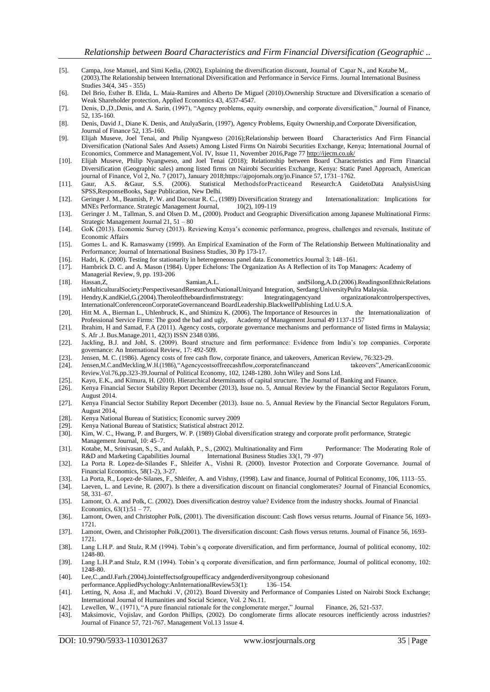- [5]. Campa, Jose Manuel, and Simi Kedia, (2002), Explaining the diversification discount, Journal of Capar N., and Kotabe M,. (2003).The Relationship between International Diversification and Performance in Service Firms. Journal International Business Studies 34(4, 345 - 355)
- [6]. Del Brio, Esther B. Elida, L. Maia-Ramires and Alberto De Miguel (2010).Ownership Structure and Diversification a scenario of Weak Shareholder protection, Applied Economics 43, 4537-4547.
- [7]. Denis, D.,D.,Denis, and A. Sarin, (1997), "Agency problems, equity ownership, and corporate diversification," Journal of Finance, 52, 135-160.
- [8]. Denis, David J., Diane K. Denis, and AtulyaSarin, (1997), Agency Problems, Equity Ownership,and Corporate Diversification, Journal of Finance 52, 135-160.
- [9]. Elijah Museve, Joel Tenai, and Philip Nyangweso (2016);Relationship between Board Characteristics And Firm Financial Diversification (National Sales And Assets) Among Listed Firms On Nairobi Securities Exchange, Kenya; International Journal of Economics, Commerce and Management,Vol. IV, Issue 11, November 2016,Page 7[7 http://ijecm.co.uk/](http://ijecm.co.uk/)
- [10]. Elijah Museve, Philip Nyangweso, and Joel Tenai (2018); Relationship between Board Characteristics and Firm Financial Diversification (Geographic sales) among listed firms on Nairobi Securities Exchange, Kenya: Static Panel Approach, American
- journal of Finance, Vol 2, No. 7 (2017), January 2018;https://ajpojornals.org/jo.Finance 57, 1731–1762. [11]. Gaur, A.S. &Gaur, S.S. (2006). Statistical MethodsforPracticeand Research:A GuidetoData AnalysisUsing SPSS,ResponseBooks, Sage Publication, New Delhi.
- [12]. Geringer J. M., Beamish, P. W. and Dacostar R. C., (1989) Diversification Strategy and Internationalization: Implications for MNEs Performance. Strategic Management Journal, 10(2), 109-119
- [13]. Geringer J. M., Tallman, S. and Olsen D. M., (2000). Product and Geographic Diversification among Japanese Multinational Firms: Strategic Management Journal 21, 51 – 80
- [14]. GoK (2013). Economic Survey (2013). Reviewing Kenya"s economic performance, progress, challenges and reversals, Institute of Economic Affairs
- [15]. Gomes L. and K. Ramaswamy (1999). An Empirical Examination of the Form of The Relationship Between Multinationality and Performance; Journal of International Business Studies, 30 Pp 173-17.
- [16]. Hadri, K. (2000). Testing for stationarity in heterogeneous panel data. Econometrics Journal 3: 148–161.
- [17]. Hambrick D. C. and A. Mason (1984). Upper Echelons: The Organization As A Reflection of its Top Managers: Academy of Managerial Review, 9, pp. 193-206
- [18]. Hassan,Z, Samian,A.L. andSilong,A.D.(2006).ReadingsonEthnicRelations inMulticulturalSociety:PerspectivesandResearchonNationalUnityand Integration, Serdang:UniversityPulra Malaysia.
- [19]. Hendry,K.andKiel,G.(2004).Theroleoftheboardinfirmstrategy: Integratingagencyand organizationalcontrolperspectives, InternationalConferenceonCorporateGovernanceand BoardLeadership.BlackwellPublishing Ltd.U.S.A.
- [20]. Hitt M. A., Bierman L., Uhlenbruck, K., and Shimizu K. (2006). The Importance of Resources in the Internationalization of Professional Service Firms: The good the bad and ugly, Academy of Management Journal 49 1137-1157
- [21]. Ibrahim, H and Samad, F.A (2011). Agency costs, corporate governance mechanisms and performance of listed firms in Malaysia; S. Afr .J. Bus.Manage.2011, 42(3) ISSN 2348 0386.
- [22]. Jackling, B.J. and Johl, S. (2009). Board structure and firm performance: Evidence from India"s top companies. Corporate governance: An International Review, 17: 492-509.
- [23]. Jensen, M. C. (1986). Agency costs of free cash flow, corporate finance, and takeovers, American Review, 76:323-29.
- [24]. Jensen,M.C.andMeckling,W.H.(1986),"Agencycostsoffreecashflow,corporatefinanceand takeovers",AmericanEconomic Review,Vol.76,pp.323-39.Journal of Political Economy, 102, 1248-1280. John Wiley and Sons Ltd.
- [25]. Kayo, E.K., and Kimura, H. (2010). Hierarchical determinants of capital structure. The Journal of Banking and Finance.
- [26]. Kenya Financial Sector Stability Report December (2013), Issue no. 5, Annual Review by the Financial Sector Regulators Forum, August 2014.
- [27]. Kenya Financial Sector Stability Report December (2013). Issue no. 5, Annual Review by the Financial Sector Regulators Forum, August 2014,
- [28]. Kenya National Bureau of Statistics; Economic survey 2009
- [29]. Kenya National Bureau of Statistics; Statistical abstract 2012.
- [30]. Kim, W. C., Hwang, P. and Burgers, W. P. (1989) Global diversification strategy and corporate profit performance, Strategic Management Journal, 10: 45–7.
- [31]. Kotabe, M., Srinivasan, S., S., and Aulakh, P., S., (2002). Multinationality and Firm Performance: The Moderating Role of R&D and Marketing Capabilities Journal International Business Studies 33(1, 79 -97)
- [32]. La Porta R. Lopez-de-Silandes F., Shleifer A., Vishni R. (2000). Investor Protection and Corporate Governance. Journal of Financial Economics, 58(1-2), 3-27.
- [33]. La Porta, R., Lopez-de-Silanes, F., Shleifer, A. and Vishny, (1998). Law and finance, Journal of Political Economy, 106, 1113–55.
- [34]. Laeven, L. and Levine, R. (2007). Is there a diversification discount on financial conglomerates? Journal of Financial Economics, 58, 331–67.
- [35]. Lamont, O. A. and Polk, C. (2002). Does diversification destroy value? Evidence from the industry shocks. Journal of Financial Economics,  $63(1):51 - 77$ .
- [36]. Lamont, Owen, and Christopher Polk, (2001). The diversification discount: Cash flows versus returns. Journal of Finance 56, 1693- 1721.
- [37]. Lamont, Owen, and Christopher Polk,(2001). The diversification discount: Cash flows versus returns. Journal of Finance 56, 1693- 1721.
- [38]. Lang L.H.P. and Stulz, R.M (1994). Tobin's q corporate diversification, and firm performance, Journal of political economy, 102: 1248-80.
- [39]. Lang L.H.P.and Stulz, R.M (1994). Tobin"s q corporate diversification, and firm performance, Journal of political economy, 102: 1248-80.
- [40]. Lee,C.,andJ.Farh.(2004).Jointeffectsofgroupefficacy andgenderdiversityongroup cohesionand
- performanc[e.AppliedPsychology:AnInternationalReview53\(](http://dx.doi.org/10.1111/j.1464-0597.2004.00164.x)1): 136–154.
- [41]. Letting, N, Aosa .E, and Machuki .V, (2012). Board Diversity and Performance of Companies Listed on Nairobi Stock Exchange; International Journal of Humanities and Social Science, Vol. 2 No.11.
- [42]. Lewellen, W., (1971), "A pure financial rationale for the conglomerate merger," Journal Finance, 26, 521-537.
- [43]. Maksimovic, Vojislav, and Gordon Phillips, (2002). Do conglomerate firms allocate resources inefficiently across industries? Journal of Finance 57, 721-767. Management Vol.13 1ssue 4.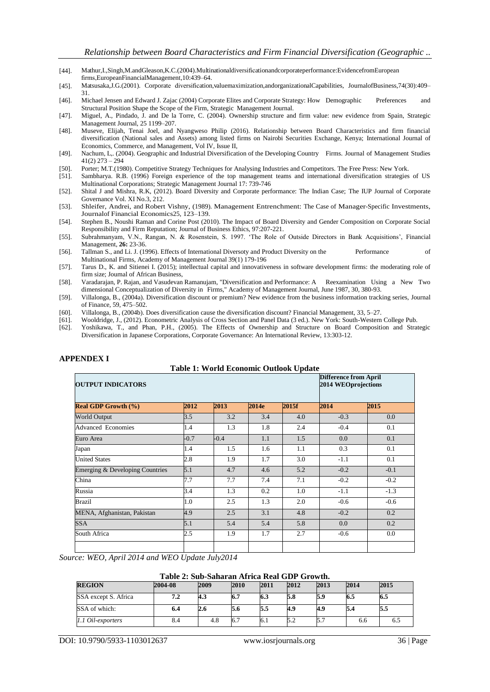- [44]. Mathur,I.,Singh,M.andGleason,K.C.(2004).Multinationaldiversificationandcorporateperformance:EvidencefromEuropean firms,EuropeanFinancialManagement,10:439–64.
- [45]. Matsusaka,J.G.(2001). Corporate diversification,valuemaximization,andorganizationalCapabilities, JournalofBusiness,74(30):409– 31.
- [46]. Michael Jensen and Edward J. Zajac (2004) Corporate Elites and Corporate Strategy: How Demographic Preferences and Structural Position Shape the Scope of the Firm, Strategic Management Journal.
- [47]. Miguel, A., Pindado, J. and De la Torre, C. (2004). Ownership structure and firm value: new evidence from Spain, Strategic Management Journal, 25 1199–207.
- [48]. Museve, Elijah, Tenai Joel, and Nyangweso Philip (2016). Relationship between Board Characteristics and firm financial diversification (National sales and Assets) among listed firms on Nairobi Securities Exchange, Kenya; International Journal of Economics, Commerce, and Management, Vol IV, Issue II,
- [49]. Nachum, L,. (2004). Geographic and Industrial Diversification of the Developing Country Firms. Journal of Management Studies 41(2) 273 – 294
- [50]. Porter; M.T.(1980). Competitive Strategy Techniques for Analysing Industries and Competitors. The Free Press: New York.
- [51]. Sambharya. R.B. (1996) Foreign experience of the top management teams and international diversification strategies of US Multinational Corporations; Strategic Management Journal 17: 739-746
- [52]. Shital J and Mishra, R.K, (2012). Board Diversity and Corporate performance: The Indian Case; The IUP Journal of Corporate Governance Vol. XI No.3, 212.
- [53]. Shleifer, Andrei, and Robert Vishny, (1989). Management Entrenchment: The Case of Manager-Specific Investments, Journalof Financial Economics25, 123–139.
- [54]. Stephen B., Noushi Raman and Corine Post (2010). The Impact of Board Diversity and Gender Composition on Corporate Social Responsibility and Firm Reputation; Journal of Business Ethics, 97:207-221.
- [55]. Subrahmanyam, V.N., Rangan, N. & Rosenstein, S. 1997. "The Role of Outside Directors in Bank Acquisitions", Financial Management, **26:** 23-36.
- [56]. Tallman S., and Li. J. (1996). Effects of International Diversoty and Product Diversity on the Performance of Multinational Firms, Academy of Management Journal 39(1) 179-196
- [57]. Tarus D., K. and Sitienei I. (2015); intellectual capital and innovativeness in software development firms: the moderating role of firm size; Journal of African Business,
- [58]. Varadarajan, P. Rajan, and Vasudevan Ramanujam, "Diversification and Performance: A Reexamination Using a New Two dimensional Conceptualization of Diversity in Firms," Academy of Management Journal, June 1987, 30, 380-93.
- [59]. Villalonga, B., (2004a). Diversification discount or premium? New evidence from the business information tracking series, Journal of Finance, 59, 475–502.
- [60]. Villalonga, B., (2004b). Does diversification cause the diversification discount? Financial Management, 33, 5–27.
- [61]. Wooldridge, J., (2012). Econometric Analysis of Cross Section and Panel Data (3 ed.). New York: South-Western College Pub.
- [62]. Yoshikawa, T., and Phan, P.H., (2005). The Effects of Ownership and Structure on Board Composition and Strategic Diversification in Japanese Corporations, Corporate Governance: An International Review, 13:303-12.

| <b>Table 1: World Economic Outlook Update</b> |                                                     |        |       |       |        |        |  |  |
|-----------------------------------------------|-----------------------------------------------------|--------|-------|-------|--------|--------|--|--|
| <b>OUTPUT INDICATORS</b>                      | <b>Difference from April</b><br>2014 WEOprojections |        |       |       |        |        |  |  |
| <b>Real GDP Growth (%)</b>                    | 2012                                                | 2013   | 2014e | 2015f | 2014   | 2015   |  |  |
| <b>World Output</b>                           | 3.5                                                 | 3.2    | 3.4   | 4.0   | $-0.3$ | 0.0    |  |  |
| <b>Advanced Economies</b>                     | 1.4                                                 | 1.3    | 1.8   | 2.4   | $-0.4$ | 0.1    |  |  |
| Euro Area                                     | $-0.7$                                              | $-0.4$ | 1.1   | 1.5   | 0.0    | 0.1    |  |  |
| Japan                                         | 1.4                                                 | 1.5    | 1.6   | 1.1   | 0.3    | 0.1    |  |  |
| <b>United States</b>                          | 2.8                                                 | 1.9    | 1.7   | 3.0   | $-1.1$ | 0.1    |  |  |
| Emerging & Developing Countries               | 5.1                                                 | 4.7    | 4.6   | 5.2   | $-0.2$ | $-0.1$ |  |  |
| China                                         | 7.7                                                 | 7.7    | 7.4   | 7.1   | $-0.2$ | $-0.2$ |  |  |
| Russia                                        | 3.4                                                 | 1.3    | 0.2   | 1.0   | $-1.1$ | $-1.3$ |  |  |
| <b>Brazil</b>                                 | 1.0                                                 | 2.5    | 1.3   | 2.0   | $-0.6$ | $-0.6$ |  |  |
| MENA, Afghanistan, Pakistan                   | 4.9                                                 | 2.5    | 3.1   | 4.8   | $-0.2$ | 0.2    |  |  |
| <b>SSA</b>                                    | 5.1                                                 | 5.4    | 5.4   | 5.8   | 0.0    | 0.2    |  |  |
| South Africa                                  | 2.5                                                 | 1.9    | 1.7   | 2.7   | $-0.6$ | 0.0    |  |  |
|                                               |                                                     |        |       |       |        |        |  |  |

# **APPENDEX I**

*Source: WEO, April 2014 and WEO Update July2014*

|  | Table 2: Sub-Saharan Africa Real GDP Growth. |  |  |
|--|----------------------------------------------|--|--|
|--|----------------------------------------------|--|--|

| <b>REGION</b>        | 2004-08 | 2009 | 2010 | 2011 | 2012 | 2013 | 2014 | 2015 |
|----------------------|---------|------|------|------|------|------|------|------|
| SSA except S. Africa | 7.2     | 4.3  | 6.7  | 6.3  | 5.8  | 5.9  | 6.5  | 6.5  |
| SSA of which:        | 6.4     | 2.6  | 5.6  | 5.5  | 4.9  | 4.9  |      | 5.5  |
| 1.1 Oil-exporters    | 8.4     | 4.8  | 0.7  | 6.1  | 5.2  | 5.1  | 6.6  | 0.J  |

DOI: 10.9790/5933-1103012637 www.iosrjournals.org 36 | Page